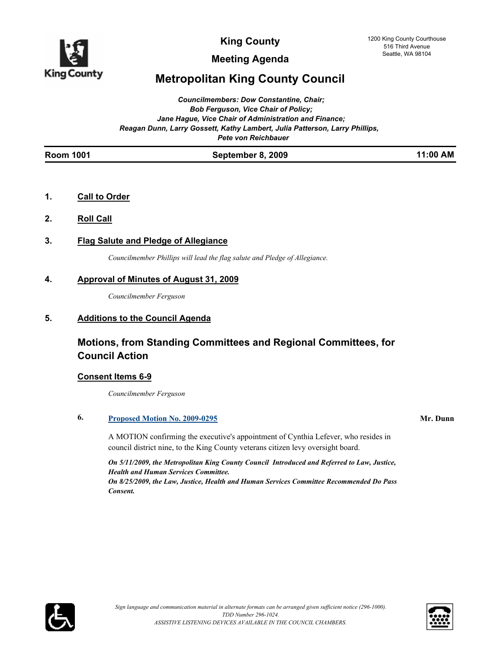

**Meeting Agenda**

# **Metropolitan King County Council**

*Councilmembers: Dow Constantine, Chair; Bob Ferguson, Vice Chair of Policy; Jane Hague, Vice Chair of Administration and Finance; Reagan Dunn, Larry Gossett, Kathy Lambert, Julia Patterson, Larry Phillips, Pete von Reichbauer*

|--|

- **1. Call to Order**
- **2. Roll Call**
- **3. Flag Salute and Pledge of Allegiance**

*Councilmember Phillips will lead the flag salute and Pledge of Allegiance.*

## **4. Approval of Minutes of August 31, 2009**

*Councilmember Ferguson*

## **5. Additions to the Council Agenda**

# **Motions, from Standing Committees and Regional Committees, for Council Action**

## **Consent Items 6-9**

*Councilmember Ferguson*

## **6. [Proposed Motion No. 2009-0295](http://kingcounty.legistar.com/gateway.aspx?M=L&ID=9714) Mr. Dunn**

A MOTION confirming the executive's appointment of Cynthia Lefever, who resides in council district nine, to the King County veterans citizen levy oversight board.

*On 5/11/2009, the Metropolitan King County Council Introduced and Referred to Law, Justice, Health and Human Services Committee. On 8/25/2009, the Law, Justice, Health and Human Services Committee Recommended Do Pass Consent.*



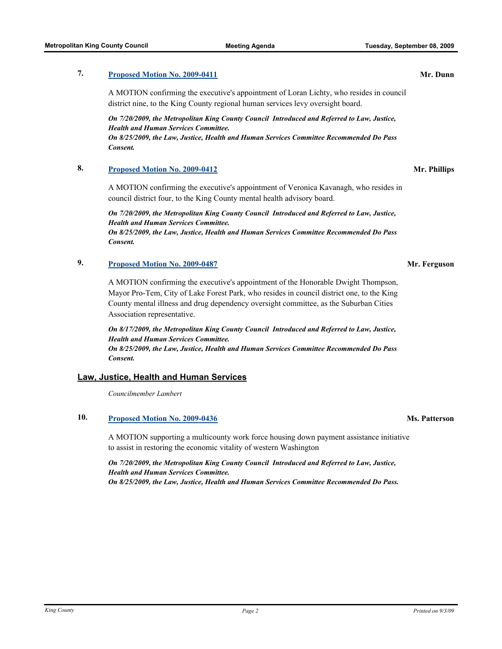## **7. [Proposed Motion No. 2009-0411](http://kingcounty.legistar.com/gateway.aspx?M=L&ID=9919) Mr. Dunn**

A MOTION confirming the executive's appointment of Loran Lichty, who resides in council district nine, to the King County regional human services levy oversight board.

*On 7/20/2009, the Metropolitan King County Council Introduced and Referred to Law, Justice, Health and Human Services Committee. On 8/25/2009, the Law, Justice, Health and Human Services Committee Recommended Do Pass Consent.*

### **8. [Proposed Motion No. 2009-0412](http://kingcounty.legistar.com/gateway.aspx?M=L&ID=9921) Mr. Phillips**

A MOTION confirming the executive's appointment of Veronica Kavanagh, who resides in council district four, to the King County mental health advisory board.

*On 7/20/2009, the Metropolitan King County Council Introduced and Referred to Law, Justice, Health and Human Services Committee. On 8/25/2009, the Law, Justice, Health and Human Services Committee Recommended Do Pass* 

*Consent.*

## **9. [Proposed Motion No. 2009-0487](http://kingcounty.legistar.com/gateway.aspx?M=L&ID=10037) Mr. Ferguson**

A MOTION confirming the executive's appointment of the Honorable Dwight Thompson, Mayor Pro-Tem, City of Lake Forest Park, who resides in council district one, to the King County mental illness and drug dependency oversight committee, as the Suburban Cities Association representative.

*On 8/17/2009, the Metropolitan King County Council Introduced and Referred to Law, Justice, Health and Human Services Committee. On 8/25/2009, the Law, Justice, Health and Human Services Committee Recommended Do Pass Consent.*

### **Law, Justice, Health and Human Services**

*Councilmember Lambert*

## **10. [Proposed Motion No. 2009-0436](http://kingcounty.legistar.com/gateway.aspx?M=L&ID=9959) Ms. Patterson**

A MOTION supporting a multicounty work force housing down payment assistance initiative to assist in restoring the economic vitality of western Washington

*On 7/20/2009, the Metropolitan King County Council Introduced and Referred to Law, Justice, Health and Human Services Committee. On 8/25/2009, the Law, Justice, Health and Human Services Committee Recommended Do Pass.*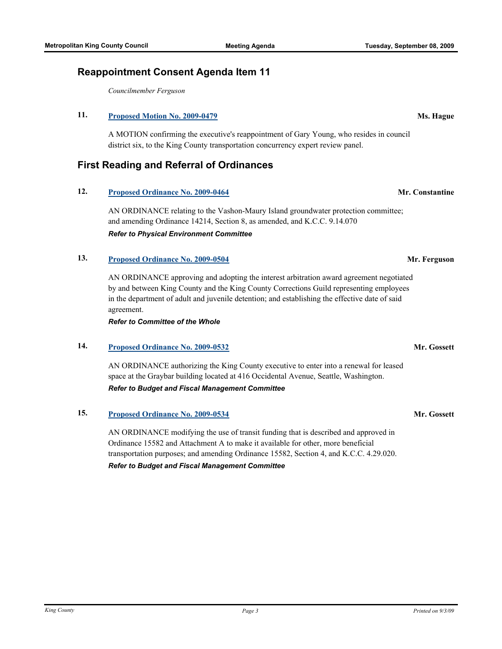# **11. [Proposed Motion No. 2009-0479](http://kingcounty.legistar.com/gateway.aspx?M=L&ID=10029) Ms. Hague**

A MOTION confirming the executive's reappointment of Gary Young, who resides in council district six, to the King County transportation concurrency expert review panel.

# **First Reading and Referral of Ordinances**

**Reappointment Consent Agenda Item 11**

## **12. [Proposed Ordinance No. 2009-0464](http://kingcounty.legistar.com/gateway.aspx?M=L&ID=10014) Mr. Constantine**

AN ORDINANCE relating to the Vashon-Maury Island groundwater protection committee; and amending Ordinance 14214, Section 8, as amended, and K.C.C. 9.14.070 *Refer to Physical Environment Committee*

# **13. [Proposed Ordinance No. 2009-0504](http://kingcounty.legistar.com/gateway.aspx?M=L&ID=10055) Mr. Ferguson**

AN ORDINANCE approving and adopting the interest arbitration award agreement negotiated by and between King County and the King County Corrections Guild representing employees in the department of adult and juvenile detention; and establishing the effective date of said agreement.

*Refer to Committee of the Whole*

# **14. [Proposed Ordinance No. 2009-0532](http://kingcounty.legistar.com/gateway.aspx?M=L&ID=10101) Mr. Gossett**

AN ORDINANCE authorizing the King County executive to enter into a renewal for leased space at the Graybar building located at 416 Occidental Avenue, Seattle, Washington. *Refer to Budget and Fiscal Management Committee*

**15. [Proposed Ordinance No. 2009-0534](http://kingcounty.legistar.com/gateway.aspx?M=L&ID=10107) Mr. Gossett**

AN ORDINANCE modifying the use of transit funding that is described and approved in Ordinance 15582 and Attachment A to make it available for other, more beneficial transportation purposes; and amending Ordinance 15582, Section 4, and K.C.C. 4.29.020. *Refer to Budget and Fiscal Management Committee*

### *King County Page 3 Printed on 9/3/09*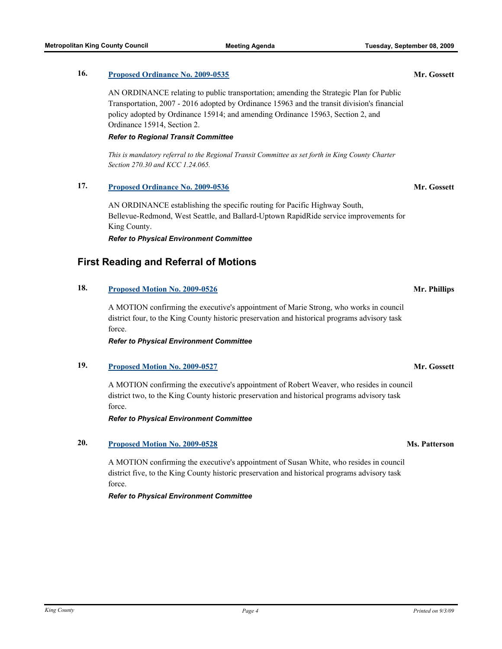# **16. [Proposed Ordinance No. 2009-0535](http://kingcounty.legistar.com/gateway.aspx?M=L&ID=10108) Mr. Gossett**

AN ORDINANCE relating to public transportation; amending the Strategic Plan for Public Transportation, 2007 - 2016 adopted by Ordinance 15963 and the transit division's financial policy adopted by Ordinance 15914; and amending Ordinance 15963, Section 2, and Ordinance 15914, Section 2.

# *Refer to Regional Transit Committee*

*This is mandatory referral to the Regional Transit Committee as set forth in King County Charter Section 270.30 and KCC 1.24.065.*

# **17. [Proposed Ordinance No. 2009-0536](http://kingcounty.legistar.com/gateway.aspx?M=L&ID=10109) Mr. Gossett**

AN ORDINANCE establishing the specific routing for Pacific Highway South, Bellevue-Redmond, West Seattle, and Ballard-Uptown RapidRide service improvements for King County.

*Refer to Physical Environment Committee*

# **First Reading and Referral of Motions**

## **18. [Proposed Motion No. 2009-0526](http://kingcounty.legistar.com/gateway.aspx?M=L&ID=10086) Mr. Phillips**

A MOTION confirming the executive's appointment of Marie Strong, who works in council district four, to the King County historic preservation and historical programs advisory task force.

*Refer to Physical Environment Committee*

# **19. [Proposed Motion No. 2009-0527](http://kingcounty.legistar.com/gateway.aspx?M=L&ID=10088) Mr. Gossett**

A MOTION confirming the executive's appointment of Robert Weaver, who resides in council district two, to the King County historic preservation and historical programs advisory task force.

*Refer to Physical Environment Committee*

# **20. [Proposed Motion No. 2009-0528](http://kingcounty.legistar.com/gateway.aspx?M=L&ID=10089) Ms. Patterson**

A MOTION confirming the executive's appointment of Susan White, who resides in council district five, to the King County historic preservation and historical programs advisory task force.

*Refer to Physical Environment Committee*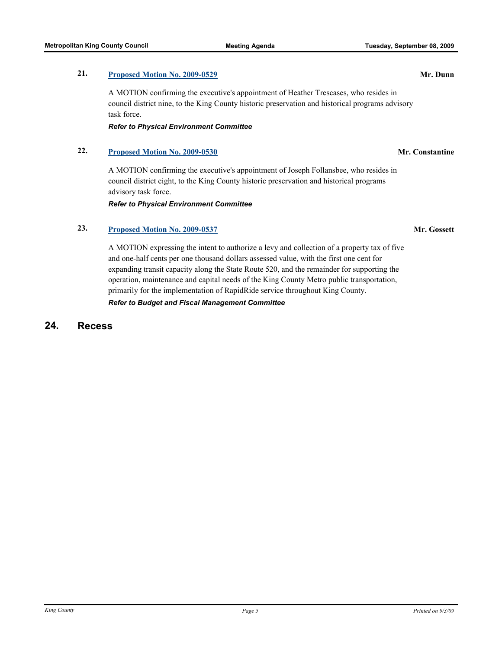### **21. [Proposed Motion No. 2009-0529](http://kingcounty.legistar.com/gateway.aspx?M=L&ID=10090) Mr. Dunn**

A MOTION confirming the executive's appointment of Heather Trescases, who resides in council district nine, to the King County historic preservation and historical programs advisory task force.

*Refer to Physical Environment Committee*

## **22. [Proposed Motion No. 2009-0530](http://kingcounty.legistar.com/gateway.aspx?M=L&ID=10091) Mr. Constantine**

A MOTION confirming the executive's appointment of Joseph Follansbee, who resides in council district eight, to the King County historic preservation and historical programs advisory task force.

*Refer to Physical Environment Committee*

## **23. [Proposed Motion No. 2009-0537](http://kingcounty.legistar.com/gateway.aspx?M=L&ID=10110) Mr. Gossett**

A MOTION expressing the intent to authorize a levy and collection of a property tax of five and one-half cents per one thousand dollars assessed value, with the first one cent for expanding transit capacity along the State Route 520, and the remainder for supporting the operation, maintenance and capital needs of the King County Metro public transportation, primarily for the implementation of RapidRide service throughout King County.

*Refer to Budget and Fiscal Management Committee*

# **24. Recess**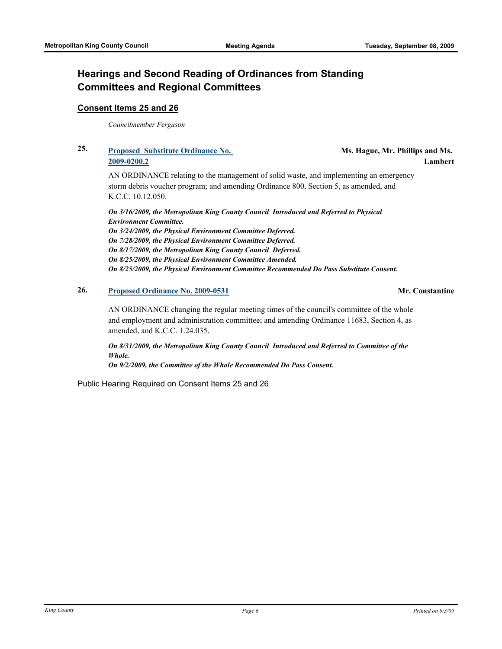# **Hearings and Second Reading of Ordinances from Standing Committees and Regional Committees**

### **Consent Items 25 and 26**

*Councilmember Ferguson*

# **25. [Proposed Substitute Ordinance No.](http://kingcounty.legistar.com/gateway.aspx?M=L&ID=9530)  2009-0200.2**

**Ms. Hague, Mr. Phillips and Ms. Lambert**

AN ORDINANCE relating to the management of solid waste, and implementing an emergency storm debris voucher program; and amending Ordinance 800, Section 5, as amended, and K.C.C. 10.12.050.

*On 3/16/2009, the Metropolitan King County Council Introduced and Referred to Physical Environment Committee. On 3/24/2009, the Physical Environment Committee Deferred. On 7/28/2009, the Physical Environment Committee Deferred. On 8/17/2009, the Metropolitan King County Council Deferred. On 8/25/2009, the Physical Environment Committee Amended. On 8/25/2009, the Physical Environment Committee Recommended Do Pass Substitute Consent.*

## **26. [Proposed Ordinance No. 2009-0531](http://kingcounty.legistar.com/gateway.aspx?M=L&ID=10094) Mr. Constantine**

AN ORDINANCE changing the regular meeting times of the council's committee of the whole and employment and administration committee; and amending Ordinance 11683, Section 4, as amended, and K.C.C. 1.24.035.

*On 8/31/2009, the Metropolitan King County Council Introduced and Referred to Committee of the Whole.* 

*On 9/2/2009, the Committee of the Whole Recommended Do Pass Consent.*

Public Hearing Required on Consent Items 25 and 26